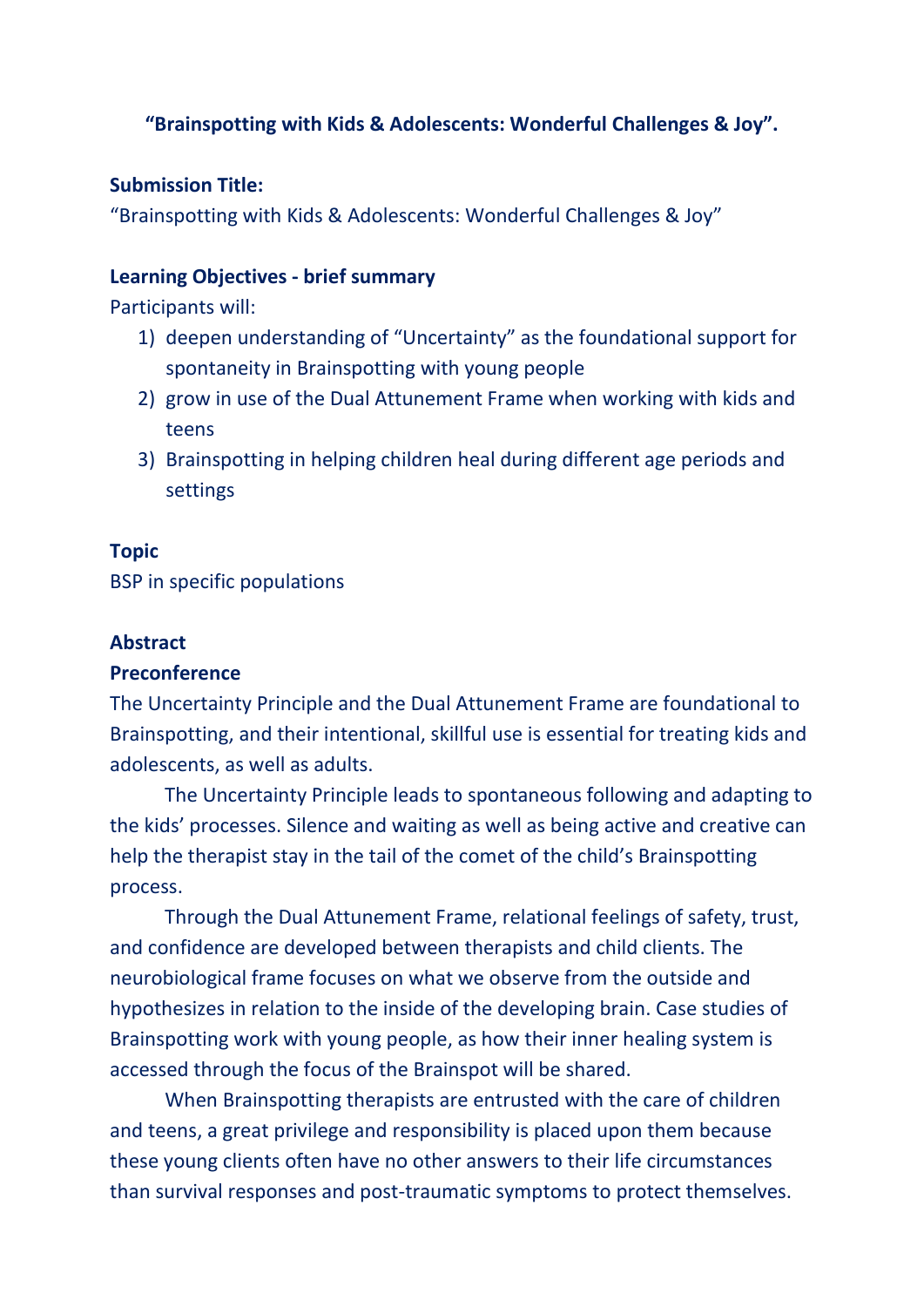# **"Brainspotting with Kids & Adolescents: Wonderful Challenges & Joy".**

#### **Submission Title:**

"Brainspotting with Kids & Adolescents: Wonderful Challenges & Joy"

### **Learning Objectives - brief summary**

Participants will:

- 1) deepen understanding of "Uncertainty" as the foundational support for spontaneity in Brainspotting with young people
- 2) grow in use of the Dual Attunement Frame when working with kids and teens
- 3) Brainspotting in helping children heal during different age periods and settings

## **Topic**

BSP in specific populations

## **Abstract**

#### **Preconference**

The Uncertainty Principle and the Dual Attunement Frame are foundational to Brainspotting, and their intentional, skillful use is essential for treating kids and adolescents, as well as adults.

The Uncertainty Principle leads to spontaneous following and adapting to the kids' processes. Silence and waiting as well as being active and creative can help the therapist stay in the tail of the comet of the child's Brainspotting process.

Through the Dual Attunement Frame, relational feelings of safety, trust, and confidence are developed between therapists and child clients. The neurobiological frame focuses on what we observe from the outside and hypothesizes in relation to the inside of the developing brain. Case studies of Brainspotting work with young people, as how their inner healing system is accessed through the focus of the Brainspot will be shared.

When Brainspotting therapists are entrusted with the care of children and teens, a great privilege and responsibility is placed upon them because these young clients often have no other answers to their life circumstances than survival responses and post-traumatic symptoms to protect themselves.